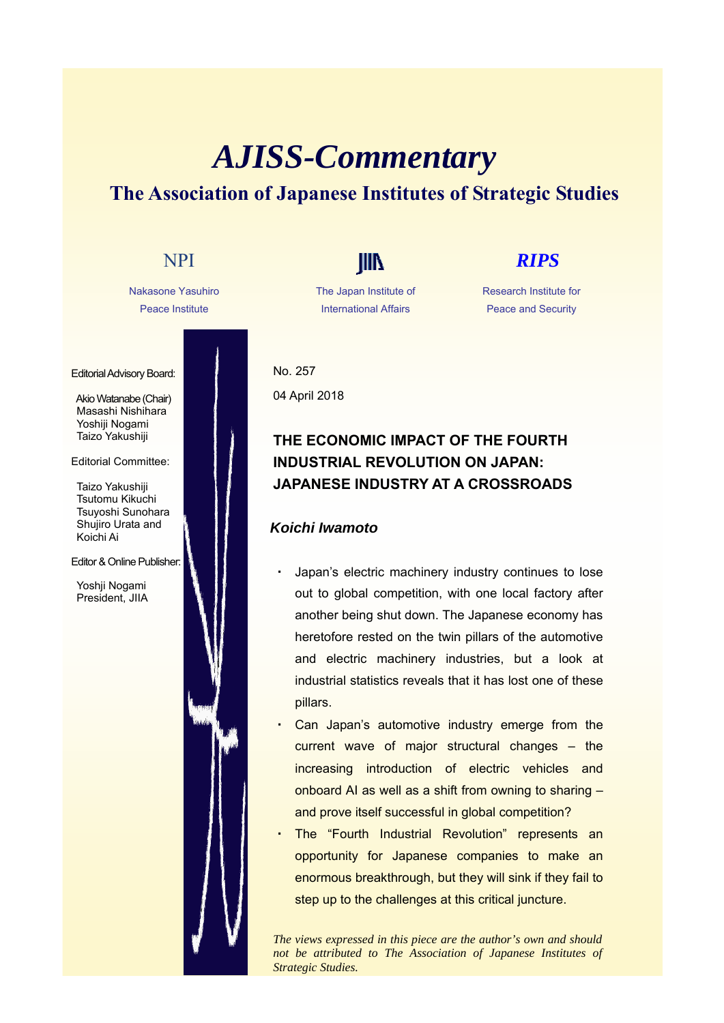# *AJISS-Commentary* **The Association of Japanese Institutes of Strategic Studies**



The Japan Institute of International Affairs

Research Institute for Peace and Security

No. 257 04 April 2018

## **THE ECONOMIC IMPACT OF THE FOURTH INDUSTRIAL REVOLUTION ON JAPAN: JAPANESE INDUSTRY AT A CROSSROADS**

### *Koichi Iwamoto*

- Japan's electric machinery industry continues to lose out to global competition, with one local factory after another being shut down. The Japanese economy has heretofore rested on the twin pillars of the automotive and electric machinery industries, but a look at industrial statistics reveals that it has lost one of these pillars.
- Can Japan's automotive industry emerge from the current wave of major structural changes – the increasing introduction of electric vehicles and onboard AI as well as a shift from owning to sharing – and prove itself successful in global competition?
- The "Fourth Industrial Revolution" represents an opportunity for Japanese companies to make an enormous breakthrough, but they will sink if they fail to step up to the challenges at this critical juncture.

*The views expressed in this piece are the author's own and should not be attributed to The Association of Japanese Institutes of Strategic Studies.*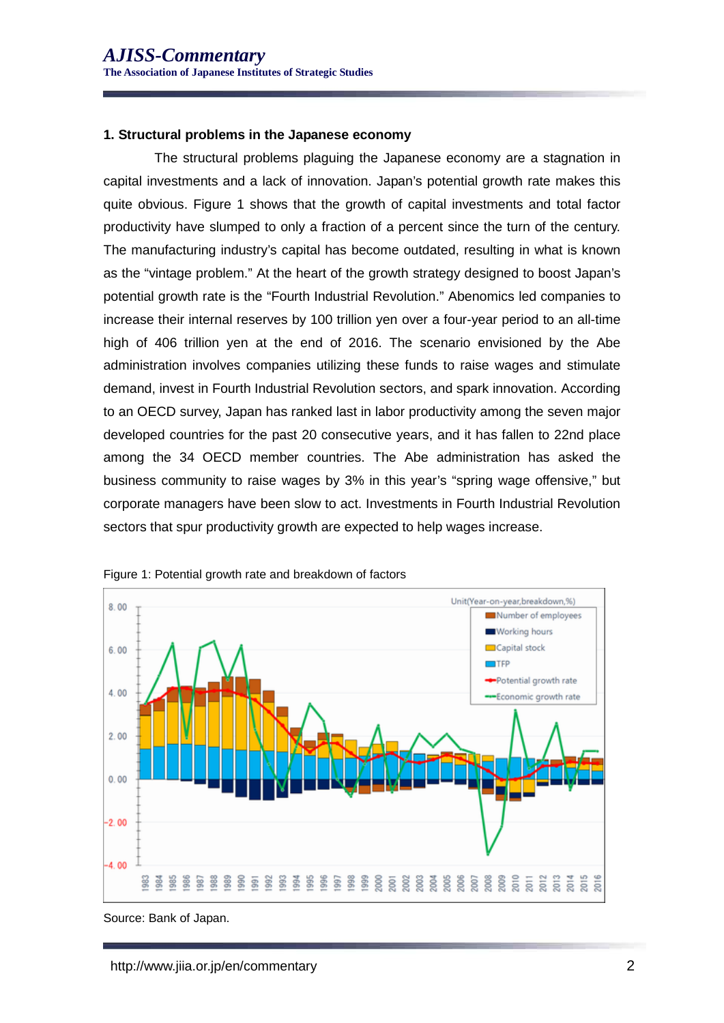### **1. Structural problems in the Japanese economy**

The structural problems plaguing the Japanese economy are a stagnation in capital investments and a lack of innovation. Japan's potential growth rate makes this quite obvious. Figure 1 shows that the growth of capital investments and total factor productivity have slumped to only a fraction of a percent since the turn of the century. The manufacturing industry's capital has become outdated, resulting in what is known as the "vintage problem." At the heart of the growth strategy designed to boost Japan's potential growth rate is the "Fourth Industrial Revolution." Abenomics led companies to increase their internal reserves by 100 trillion yen over a four-year period to an all-time high of 406 trillion yen at the end of 2016. The scenario envisioned by the Abe administration involves companies utilizing these funds to raise wages and stimulate demand, invest in Fourth Industrial Revolution sectors, and spark innovation. According to an OECD survey, Japan has ranked last in labor productivity among the seven major developed countries for the past 20 consecutive years, and it has fallen to 22nd place among the 34 OECD member countries. The Abe administration has asked the business community to raise wages by 3% in this year's "spring wage offensive," but corporate managers have been slow to act. Investments in Fourth Industrial Revolution sectors that spur productivity growth are expected to help wages increase.





Source: Bank of Japan.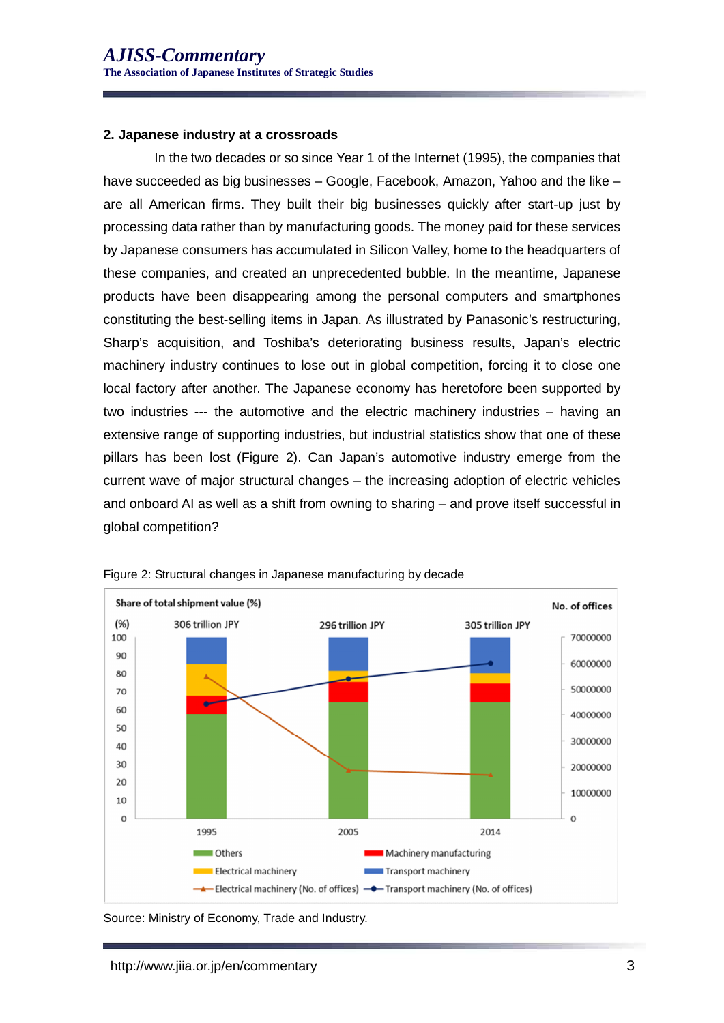#### **2. Japanese industry at a crossroads**

In the two decades or so since Year 1 of the Internet (1995), the companies that have succeeded as big businesses – Google, Facebook, Amazon, Yahoo and the like – are all American firms. They built their big businesses quickly after start-up just by processing data rather than by manufacturing goods. The money paid for these services by Japanese consumers has accumulated in Silicon Valley, home to the headquarters of these companies, and created an unprecedented bubble. In the meantime, Japanese products have been disappearing among the personal computers and smartphones constituting the best-selling items in Japan. As illustrated by Panasonic's restructuring, Sharp's acquisition, and Toshiba's deteriorating business results, Japan's electric machinery industry continues to lose out in global competition, forcing it to close one local factory after another. The Japanese economy has heretofore been supported by two industries --- the automotive and the electric machinery industries – having an extensive range of supporting industries, but industrial statistics show that one of these pillars has been lost (Figure 2). Can Japan's automotive industry emerge from the current wave of major structural changes – the increasing adoption of electric vehicles and onboard AI as well as a shift from owning to sharing – and prove itself successful in global competition?



Figure 2: Structural changes in Japanese manufacturing by decade

Source: Ministry of Economy, Trade and Industry.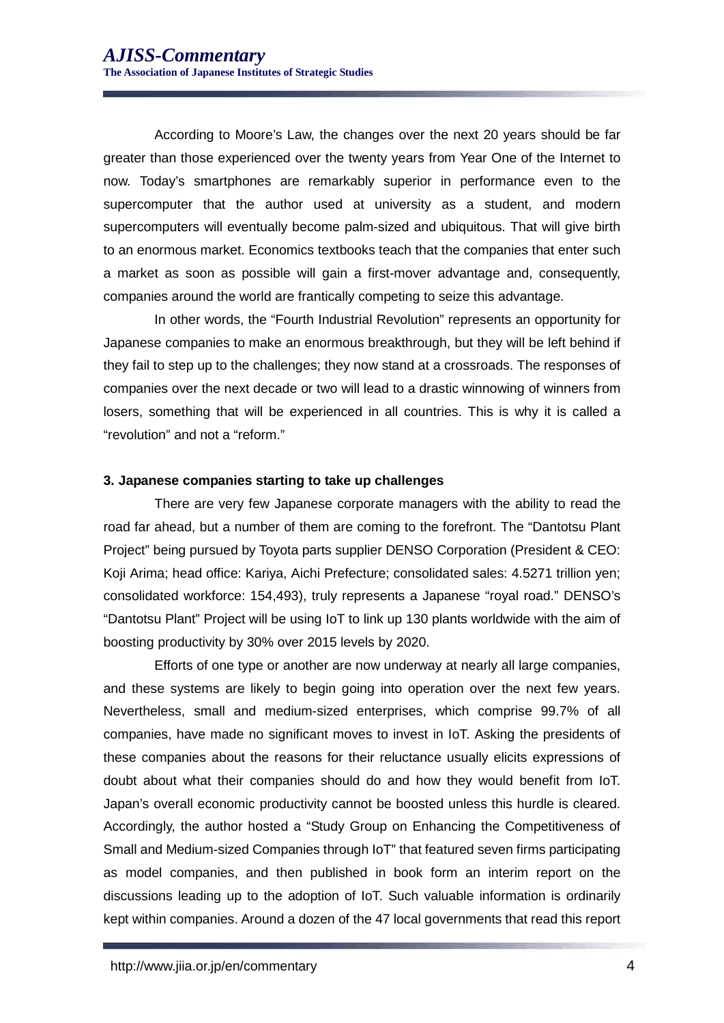According to Moore's Law, the changes over the next 20 years should be far greater than those experienced over the twenty years from Year One of the Internet to now. Today's smartphones are remarkably superior in performance even to the supercomputer that the author used at university as a student, and modern supercomputers will eventually become palm-sized and ubiquitous. That will give birth to an enormous market. Economics textbooks teach that the companies that enter such a market as soon as possible will gain a first-mover advantage and, consequently, companies around the world are frantically competing to seize this advantage.

In other words, the "Fourth Industrial Revolution" represents an opportunity for Japanese companies to make an enormous breakthrough, but they will be left behind if they fail to step up to the challenges; they now stand at a crossroads. The responses of companies over the next decade or two will lead to a drastic winnowing of winners from losers, something that will be experienced in all countries. This is why it is called a "revolution" and not a "reform."

### **3. Japanese companies starting to take up challenges**

There are very few Japanese corporate managers with the ability to read the road far ahead, but a number of them are coming to the forefront. The "Dantotsu Plant Project" being pursued by Toyota parts supplier DENSO Corporation (President & CEO: Koji Arima; head office: Kariya, Aichi Prefecture; consolidated sales: 4.5271 trillion yen; consolidated workforce: 154,493), truly represents a Japanese "royal road." DENSO's "Dantotsu Plant" Project will be using IoT to link up 130 plants worldwide with the aim of boosting productivity by 30% over 2015 levels by 2020.

 Efforts of one type or another are now underway at nearly all large companies, and these systems are likely to begin going into operation over the next few years. Nevertheless, small and medium-sized enterprises, which comprise 99.7% of all companies, have made no significant moves to invest in IoT. Asking the presidents of these companies about the reasons for their reluctance usually elicits expressions of doubt about what their companies should do and how they would benefit from IoT. Japan's overall economic productivity cannot be boosted unless this hurdle is cleared. Accordingly, the author hosted a "Study Group on Enhancing the Competitiveness of Small and Medium-sized Companies through IoT" that featured seven firms participating as model companies, and then published in book form an interim report on the discussions leading up to the adoption of IoT. Such valuable information is ordinarily kept within companies. Around a dozen of the 47 local governments that read this report